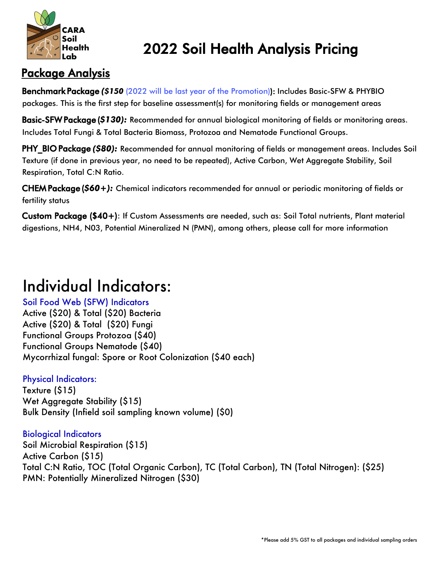

## 2022 Soil Health Analysis Pricing

### Package Analysis

Benchmark Package *(\$150* (2022 will be last year of the Promotion)): Includes Basic-SFW & PHYBIO packages. This is the first step for baseline assessment(s) for monitoring fields or management areas

Basic-SFW Package (*\$130):* Recommended for annual biological monitoring of fields or monitoring areas. Includes Total Fungi & Total Bacteria Biomass, Protozoa and Nematode Functional Groups.

PHY BIO Package *(\$80):* Recommended for annual monitoring of fields or management areas. Includes Soil Texture (if done in previous year, no need to be repeated), Active Carbon, Wet Aggregate Stability, Soil Respiration, Total C:N Ratio.

CHEM Package (*\$60+):* Chemical indicators recommended for annual or periodic monitoring of fields or fertility status

Custom Package (\$40+): If Custom Assessments are needed, such as: Soil Total nutrients, Plant material digestions, NH4, N03, Potential Mineralized N (PMN), among others, please call for more information

# Individual Indicators:

Soil Food Web (SFW) Indicators Active (\$20) & Total (\$20) Bacteria Active (\$20) & Total (\$20) Fungi Functional Groups Protozoa (\$40) Functional Groups Nematode (\$40) Mycorrhizal fungal: Spore or Root Colonization (\$40 each)

#### Physical Indicators:

Texture (\$15) Wet Aggregate Stability (\$15) Bulk Density (Infield soil sampling known volume) (\$0)

#### Biological Indicators

Soil Microbial Respiration (\$15) Active Carbon (\$15) Total C:N Ratio, TOC (Total Organic Carbon), TC (Total Carbon), TN (Total Nitrogen): (\$25) PMN: Potentially Mineralized Nitrogen (\$30)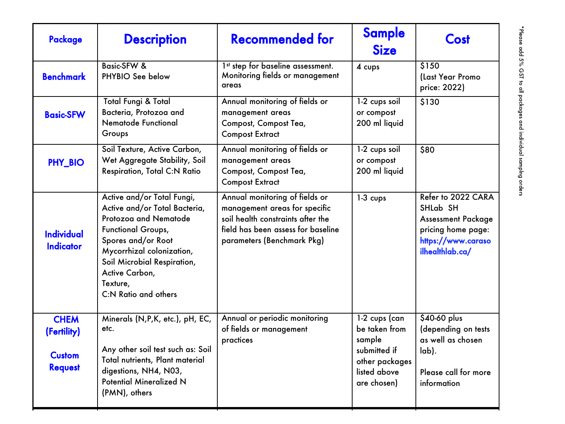| Package                                                       | <b>Description</b>                                                                                                                                                                                                                                        | <b>Recommended for</b>                                                                                                                                                   | <b>Sample</b><br><b>Size</b>                                                                                | Cost                                                                                                                       |
|---------------------------------------------------------------|-----------------------------------------------------------------------------------------------------------------------------------------------------------------------------------------------------------------------------------------------------------|--------------------------------------------------------------------------------------------------------------------------------------------------------------------------|-------------------------------------------------------------------------------------------------------------|----------------------------------------------------------------------------------------------------------------------------|
| <b>Benchmark</b>                                              | <b>Basic-SFW &amp;</b><br>PHYBIO See below                                                                                                                                                                                                                | 1st step for baseline assessment.<br>Monitoring fields or management<br>areas                                                                                            | 4 cups                                                                                                      | \$150<br>(Last Year Promo<br>price: 2022)                                                                                  |
| <b>Basic-SFW</b>                                              | Total Fungi & Total<br>Bacteria, Protozoa and<br><b>Nematode Functional</b><br>Groups                                                                                                                                                                     | Annual monitoring of fields or<br>management areas<br>Compost, Compost Tea,<br><b>Compost Extract</b>                                                                    | 1-2 cups soil<br>or compost<br>200 ml liquid                                                                | \$130                                                                                                                      |
| PHY_BIO                                                       | Soil Texture, Active Carbon,<br>Wet Aggregate Stability, Soil<br><b>Respiration, Total C:N Ratio</b>                                                                                                                                                      | Annual monitoring of fields or<br>management areas<br>Compost, Compost Tea,<br><b>Compost Extract</b>                                                                    | 1-2 cups soil<br>or compost<br>200 ml liquid                                                                | \$80                                                                                                                       |
| <b>Individual</b><br><b>Indicator</b>                         | Active and/or Total Fungi,<br>Active and/or Total Bacteria,<br>Protozog and Nematode<br>Functional Groups,<br>Spores and/or Root<br>Mycorrhizal colonization,<br>Soil Microbial Respiration,<br>Active Carbon,<br>Texture,<br><b>C:N Ratio and others</b> | Annual monitoring of fields or<br>management areas for specific<br>soil health constraints after the<br>field has been assess for baseline<br>parameters (Benchmark Pkg) | $1-3$ cups                                                                                                  | Refer to 2022 CARA<br>SHLab SH<br><b>Assessment Package</b><br>pricing home page:<br>https://www.caraso<br>ilhealthlab.ca/ |
| <b>CHEM</b><br>(Fertility)<br><b>Custom</b><br><b>Request</b> | Minerals (N,P,K, etc.), pH, EC,<br>etc.<br>Any other soil test such as: Soil<br>Total nutrients, Plant material<br>digestions, NH4, N03,<br><b>Potential Mineralized N</b><br>(PMN), others                                                               | Annual or periodic monitoring<br>of fields or management<br>practices                                                                                                    | $1-2$ cups (can<br>be taken from<br>sample<br>submitted if<br>other packages<br>listed above<br>are chosen) | $$40-60$ plus<br>(depending on tests<br>as well as chosen<br>lab).<br>Please call for more<br>information                  |